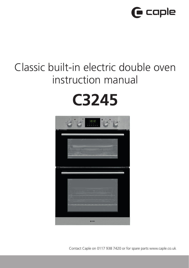

## Classic built-in electric double oven instruction manual

# **C3245**



Contact Caple on 0117 938 7420 or for spare parts www.caple.co.uk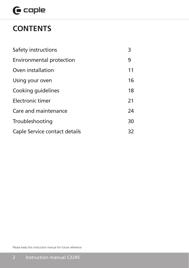## $G$  caple

## **CONTENTS**

| Safety instructions           | 3  |
|-------------------------------|----|
| Environmental protection      | 9  |
| Oven installation             | 11 |
| Using your oven               | 16 |
| Cooking guidelines            | 18 |
| Electronic timer              | 21 |
| Care and maintenance          | 24 |
| Troubleshooting               | 30 |
| Caple Service contact details | 32 |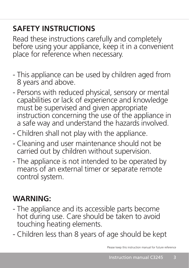## **SAFETY INSTRUCTIONS**

Read these instructions carefully and completely before using your appliance, keep it in a convenient place for reference when necessary.

- This appliance can be used by children aged from 8 years and above.
- Persons with reduced physical, sensory or mental capabilities or lack of experience and knowledge must be supervised and given appropriate instruction concerning the use of the appliance in a safe way and understand the hazards involved.
- Children shall not play with the appliance.
- Cleaning and user maintenance should not be carried out by children without supervision.
- The appliance is not intended to be operated by means of an external timer or separate remote control system.

## **WARNING:**

- The appliance and its accessible parts become hot during use. Care should be taken to avoid touching heating elements.
- Children less than 8 years of age should be kept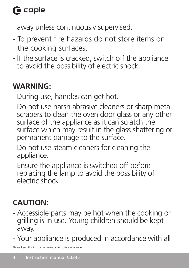## $\bigcap$  caple

away unless continuously supervised.

- To prevent fire hazards do not store items on the cooking surfaces.
- If the surface is cracked, switch off the appliance to avoid the possibility of electric shock.

## **WARNING:**

- During use, handles can get hot.
- Do not use harsh abrasive cleaners or sharp metal scrapers to clean the oven door glass or any other surface of the appliance as it can scratch the surface which may result in the glass shattering or permanent damage to the surface.
- Do not use steam cleaners for cleaning the appliance.
- Ensure the appliance is switched off before replacing the lamp to avoid the possibility of electric shock.

## **CAUTION:**

- Accessible parts may be hot when the cooking or grilling is in use. Young children should be kept away.
- Your appliance is produced in accordance with all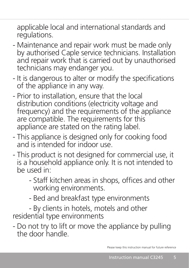applicable local and international standards and regulations.

- Maintenance and repair work must be made only by authorised Caple service technicians. Installation and repair work that is carried out by unauthorised technicians may endanger you.
- It is dangerous to alter or modify the specifications of the appliance in any way.
- Prior to installation, ensure that the local distribution conditions (electricity voltage and frequency) and the requirements of the appliance are compatible. The requirements for this appliance are stated on the rating label.
- This appliance is designed only for cooking food and is intended for indoor use.
- This product is not designed for commercial use, it is a household appliance only. It is not intended to be used in:
	- Staff kitchen areas in shops, offices and other working environments.
	- Bed and breakfast type environments

- By clients in hotels, motels and other residential type environments

- Do not try to lift or move the appliance by pulling the door handle.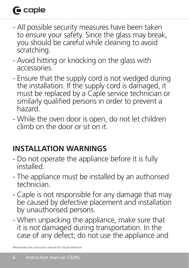## $\bigcap$  caple

- All possible security measures have been taken to ensure your safety. Since the glass may break, you should be careful while cleaning to avoid scratching.
- Avoid hitting or knocking on the glass with accessories.
- Ensure that the supply cord is not wedged during the installation. If the supply cord is damaged, it must be replaced by a Caple service technician or similarly qualified persons in order to prevent a hazard.
- While the oven door is open, do not let children climb on the door or sit on it.

## **INSTALLATION WARNINGS**

- Do not operate the appliance before it is fully installed.
- The appliance must be installed by an authorised technician.
- Caple is not responsible for any damage that may be caused by defective placement and installation by unauthorised persons.
- When unpacking the appliance, make sure that it is not damaged during transportation. In the case of any defect; do not use the appliance and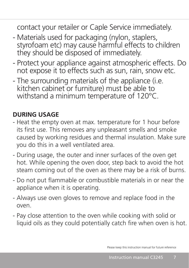contact your retailer or Caple Service immediately.

- Materials used for packaging (nylon, staplers, styrofoam etc) may cause harmful effects to children they should be disposed of immediately.
- Protect your appliance against atmospheric effects. Do not expose it to effects such as sun, rain, snow etc.
- The surrounding materials of the appliance (i.e. kitchen cabinet or furniture) must be able to withstand a minimum temperature of 120°C.

### **DURING USAGE**

- Heat the empty oven at max. temperature for 1 hour before its first use. This removes any unpleasant smells and smoke caused by working residues and thermal insulation. Make sure you do this in a well ventilated area.
- During usage, the outer and inner surfaces of the oven get hot. While opening the oven door, step back to avoid the hot steam coming out of the oven as there may be a risk of burns.
- Do not put flammable or combustible materials in or near the appliance when it is operating.
- Always use oven gloves to remove and replace food in the oven.
- Pay close attention to the oven while cooking with solid or liquid oils as they could potentially catch fire when oven is hot.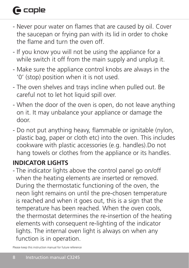## $\bigcap$  caple

- Never pour water on flames that are caused by oil. Cover the saucepan or frying pan with its lid in order to choke the flame and turn the oven off.
- If you know you will not be using the appliance for a while switch it off from the main supply and unplug it.
- Make sure the appliance control knobs are always in the '0' (stop) position when it is not used.
- The oven shelves and trays incline when pulled out. Be careful not to let hot liquid spill over.
- When the door of the oven is open, do not leave anything on it. It may unbalance your appliance or damage the door.
- Do not put anything heavy, flammable or ignitable (nylon, plastic bag, paper or cloth etc) into the oven. This includes cookware with plastic accessories (e.g. handles).Do not hang towels or clothes from the appliance or its handles.

### **INDICATOR LIGHTS**

- The indicator lights above the control panel go on/off when the heating elements are inserted or removed. During the thermostatic functioning of the oven, the neon light remains on until the pre-chosen temperature is reached and when it goes out, this is a sign that the temperature has been reached. When the oven cools, the thermostat determines the re-insertion of the heating elements with consequent re-lighting of the indicator lights. The internal oven light is always on when any function is in operation.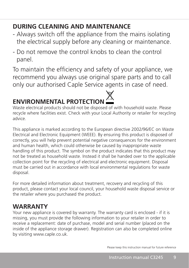### **DURING CLEANING AND MAINTENANCE**

- Always switch off the appliance from the mains isolating the electrical supply before any cleaning or maintenance.
- Do not remove the control knobs to clean the control panel.

To maintain the efficiency and safety of your appliance, we recommend you always use original spare parts and to call only our authorised Caple Service agents in case of need.

## **ENVIRONMENTAL PROTECTION**

Waste electrical products should not be disposed of with household waste. Please recycle where facilities exist. Check with your Local Authority or retailer for recycling advice.

This appliance is marked according to the European directive 2002/96/EC on Waste Electrical and Electronic Equipment (WEEE). By ensuring this product is disposed of correctly, you will help prevent potential negative consequences for the environment and human health, which could otherwise be caused by inappropriate waste handling of this product. The symbol on the product indicates that this product may not be treated as household waste. Instead it shall be handed over to the applicable collection point for the recycling of electrical and electronic equipment. Disposal must be carried out in accordance with local environmental regulations for waste disposal.

For more detailed information about treatment, recovery and recycling of this product, please contact your local council, your household waste disposal service or the retailer where you purchased the product.

### **WARRANTY**

Your new appliance is covered by warranty. The warranty card is enclosed - if it is missing, you must provide the following information to your retailer in order to receive a replacement: date of purchase, model and serial number (placed on the inside of the appliance storage drawer). Registration can also be completed online by visiting www.caple.co.uk.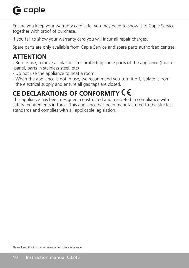## **G** caple

Ensure you keep your warranty card safe, you may need to show it to Caple Service together with proof of purchase.

If you fail to show your warranty card you will incur all repair charges.

Spare parts are only available from Caple Service and spare parts authorised centres.

### **ATTENTION**

- Before use, remove all plastic films protecting some parts of the appliance (fascia panel, parts in stainless steel, etc)
- Do not use the appliance to heat a room.
- When the appliance is not in use, we recommend you turn it off, isolate it from the electrical supply and ensure all gas taps are closed.

## **CE DECLARATIONS OF CONFORMITY**

This appliance has been designed, constructed and marketed in compliance with safety requirements in force. This appliance has been manufactured to the strictest standards and complies with all applicable legislation.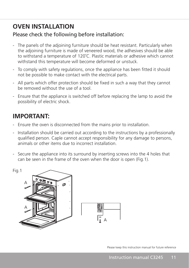### **OVEN INSTALLATION**

#### Please check the following before installation:

- The panels of the adjoining furniture should be heat resistant. Particularly when the adjoining furniture is made of veneered wood, the adhesives should be able to withstand a temperature of 120˚C. Plastic materials or adhesive which cannot withstand this temperature will become deformed or unstuck.
- To comply with safety regulations, once the appliance has been fitted it should not be possible to make contact with the electrical parts.
- All parts which offer protection should be fixed in such a way that they cannot be removed without the use of a tool.
- Ensure that the appliance is switched off before replacing the lamp to avoid the possibility of electric shock.

### **IMPORTANT:**

- Ensure the oven is disconnected from the mains prior to installation.
- Installation should be carried out according to the instructions by a professionally qualified person. Caple cannot accept responsibility for any damage to persons, animals or other items due to incorrect installation.
- Secure the appliance into its surround by inserting screws into the 4 holes that can be seen in the frame of the oven when the door is open (Fig.1).

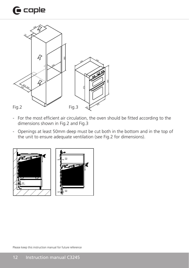## $\mathbf \Theta$  caple



- For the most efficient air circulation, the oven should be fitted according to the dimensions shown in Fig.2 and Fig.3
- Openings at least 50mm deep must be cut both in the bottom and in the top of the unit to ensure adequate ventilation (see Fig.2 for dimensions).

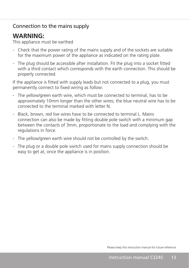#### Connection to the mains supply

### **WARNING:**

This appliance must be earthed

- Check that the power rating of the mains supply and of the sockets are suitable for the maximum power of the appliance as indicated on the rating plate.
- The plug should be accessible after installation. Fit the plug into a socket fitted with a third contact which corresponds with the earth connection. This should be properly connected.

If the appliance is fitted with supply leads but not connected to a plug, you must permanently connect to fixed wiring as follow:

- The yellow/green earth wire, which must be connected to terminal, has to be approximately 10mm longer than the other wires; the blue neutral wire has to be connected to the terminal marked with letter N.
- Black, brown, red live wires have to be connected to terminal L. Mains connection can also be made by fitting double pole switch with a minimum gap between the contacts of 3mm, proportionate to the load and complying with the regulations in force.
- The yellow/green earth wire should not be controlled by the switch.
- The plug or a double pole switch used for mains supply connection should be easy to get at, once the appliance is in position.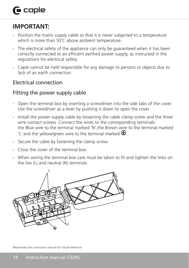## $\bigcap$  caple

### **IMPORTANT:**

- Position the mains supply cable so that it is never subjected to a temperature which is more than 50°C above ambient temperature.
- The electrical safety of the appliance can only be guaranteed when it has been correctly connected to an efficient earthed power supply, as instructed in the regulations for electrical safety.
- Caple cannot be held responsible for any damage to persons or objects due to lack of an earth connection.

#### Electrical connection

#### Fitting the power supply cable

- Open the terminal box by inserting a screwdriver into the side tabs of the cover. Use the screwdriver as a lever by pushing it down to open the cover
- Install the power supply cable by loosening the cable clamp screw and the three wire contact screws. Connect the wires to the corresponding terminals: the Blue wire to the terminal marked 'N',the Brown wire to the terminal marked 'L' and the yellow/green wire to the terminal marked  $\bigoplus$ .
- Secure the cable by fastening the clamp screw.
- Close the cover of the terminal box.
- When wiring the terminal box care must be taken to fit and tighten the links on the live (L) and neutral (N) terminals

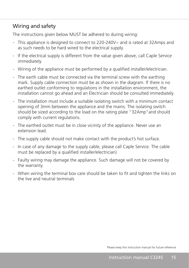#### Wiring and safety

The instructions given below MUST be adhered to during wiring:

- This appliance is designed to connect to 220-240V~ and is rated at 32Amps and as such needs to be hard wired to the electrical supply.
- If the electrical supply is different from the value given above, call Caple Service immediately.
- Wiring of the appliance must be performed by a qualified installer/electrician.
- The earth cable must be connected via the terminal screw with the earthing mark. Supply cable connection must be as shown in the diagram. If there is no earthed outlet conforming to regulations in the installation environment, the installation cannot go ahead and an Electrician should be consulted immediately.
- The installation must include a suitable isolating switch with a minimum contact opening of 3mm between the appliance and the mains. The isolating switch should be sized according to the load on the rating plate "32Amp"and should comply with current regulations.
- The earthed outlet must be in close vicinity of the appliance. Never use an extension lead.
- The supply cable should not make contact with the product's hot surface.
- In case of any damage to the supply cable, please call Caple Service. The cable must be replaced by a qualified installer/electrician)
- Faulty wiring may damage the appliance. Such damage will not be covered by the warranty.
- When wiring the terminal box care should be taken to fit and tighten the links on the live and neutral terminals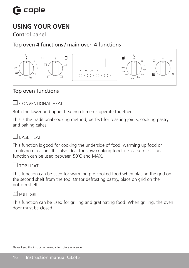### **USING YOUR OVEN**

Control panel

Top oven 4 functions / main oven 4 functions



#### Top oven functions

**CONVENTIONAL HEAT** 

Both the lower and upper heating elements operate together.

This is the traditional cooking method, perfect for roasting joints, cooking pastry and baking cakes.

#### RASE HEAT

This function is good for cooking the underside of food, warming up food or sterilising glass jars. It is also ideal for slow cooking food, i.e. casseroles. This function can be used between 50˚C and MAX.



#### $\sqcap$  top heat

This function can be used for warming pre-cooked food when placing the grid on the second shelf from the top. Or for defrosting pastry, place on grid on the bottom shelf.

#### $\,$  FULL GRILL

This function can be used for grilling and gratinating food. When grilling, the oven door must be closed.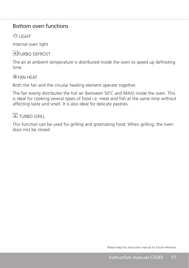#### Bottom oven functions

**DE LIGHT** 

Internal oven light

#### **ATURBO DEFROST**

The air at ambient temperature is distributed inside the oven to speed up defrosting time.

#### FAN HEAT

Both the fan and the circular heating element operate together.

The fan evenly distributes the hot air (between 50˚C and MAX) inside the oven. This is ideal for cooking several types of food i.e. meat and fish at the same time without affecting taste and smell. It is also ideal for delicate pastries.

#### **TURBO GRILL**

This function can be used for grilling and gratinating food. When grilling, the oven door mst be closed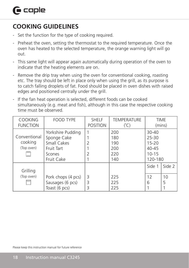## **COOKING GUIDELINES**

- Set the function for the type of cooking required.
- Preheat the oven, setting the thermostat to the required temperature. Once the oven has heated to the selected temperature, the orange warning light will go out.
- This same light will appear again automatically during operation of the oven to indicate that the heating elements are on.
- Remove the drip tray when using the oven for conventional cooking, roasting etc. The tray should be left in place only when using the grill, as its purpose is to catch falling droplets of fat. Food should be placed in oven dishes with raised edges and positioned centrally under the grill.
- If the fan heat operation is selected, different foods can be cooked simultaneously (e.g. meat and fish), although in this case the respective cooking time must be observed.

| <b>COOKING</b><br><b>FUNCTION</b>     | FOOD TYPE                                                                             | <b>SHELF</b><br><b>POSITION</b> | <b>TEMPERATURE</b><br>$(^{\circ}C)$    |                                                                          | <b>TIME</b><br>(mins) |
|---------------------------------------|---------------------------------------------------------------------------------------|---------------------------------|----------------------------------------|--------------------------------------------------------------------------|-----------------------|
| Conventional<br>cooking<br>(Top oven) | Yorkshire Pudding<br>Sponge Cake<br>Small Cakes<br>Fruit Tart<br>Scones<br>Fruit Cake | 2<br>2                          | 200<br>180<br>190<br>200<br>220<br>140 | $30 - 40$<br>$25 - 30$<br>$15 - 20$<br>$40 - 45$<br>$10 - 15$<br>120-180 |                       |
| Grilling                              |                                                                                       |                                 |                                        | Side 1                                                                   | Side 2                |
| (Top oven)<br>www                     | Pork chops (4 pcs)<br>Sausages (6 pcs)<br>Toast (6 pcs)                               | 3<br>3<br>3                     | 225<br>225<br>225                      | 12<br>6                                                                  | 10<br>5               |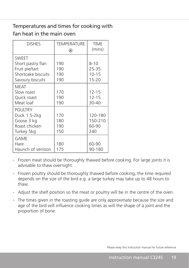#### Temperatures and times for cooking with fan heat in the main oven

| <b>DISHES</b>                                                                                 | <b>TEMPERATURE</b><br>⊛  | <b>TIME</b><br>(mins)                       |
|-----------------------------------------------------------------------------------------------|--------------------------|---------------------------------------------|
| <b>SWEET</b><br>Short pastry flan<br>Fruit pie/tart<br>Shortcake biscuits<br>Savoury biscuits | 190<br>190<br>190<br>190 | $8 - 10$<br>25-35<br>$10 - 15$<br>$15 - 20$ |
| <b>MEAT</b><br>Slow roast<br>Quick roast<br>Meat loaf                                         | 170<br>190<br>190        | $12 - 15$<br>$12 - 15$<br>30-40             |
| <b>POULTRY</b><br>Duck 1.5-2kg<br>Goose 3 kg<br>Roast chicken<br>Turkey 5kg                   | 170<br>180<br>190<br>150 | 120-180<br>150-210<br>60-90<br>240          |
| <b>GAME</b><br>Hare<br>Haunch of venison                                                      | 180<br>175               | 60-90<br>90-180                             |

- Frozen meat should be thoroughly thawed before cooking. For large joints it is advisable to thaw overnight.
- Frozen poultry should be thoroughly thawed before cooking, the time required depends on the size of the bird e.g. a large turkey may take up to 48 hours to thaw.
- Adjust the shelf position so the meat or poultry will be in the centre of the oven.
- The times given in the roasting guide are only approximate because the size and age of the bird will influence cooking times as will the shape of a joint and the proportion of bone.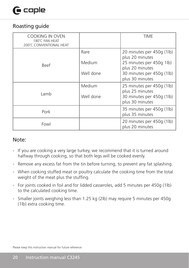## $\bigcap$  caple

#### Roasting guide

| <b>COOKING IN OVEN</b><br>180°C FAN HEAT<br>200°C CONVENTIONAL HEAT |           | TIME                                         |
|---------------------------------------------------------------------|-----------|----------------------------------------------|
|                                                                     | Rare      | 20 minutes per 450g (1lb)<br>plus 20 minutes |
| Beef                                                                | Medium    | 25 minutes per 450g 1lb)<br>plus 20 minutes  |
|                                                                     | Well done | 30 minutes per 450g (1lb)<br>plus 30 minutes |
|                                                                     | Medium    | 25 minutes per 450g (1lb)<br>plus 25 minutes |
| Lamb                                                                | Well done | 30 minutes per 450g (1lb)<br>plus 30 minutes |
| Pork                                                                |           | 35 minutes per 450g (1lb)<br>plus 35 minutes |
| Fowl                                                                |           | 20 minutes per 450g (1lb)<br>plus 20 minutes |

#### Note:

- If you are cooking a very large turkey, we recommend that it is turned around halfway through cooking, so that both legs will be cooked evenly.
- Remove any excess fat from the tin before turning, to prevent any fat splashing.
- When cooking stuffed meat or poultry calculate the cooking time from the total weight of the meat plus the stuffing.
- For joints cooked in foil and for lidded casseroles, add 5 minutes per 450g (1lb) to the calculated cooking time.
- Smaller joints weighing less than 1.25 kg (2lb) may require 5 minutes per 450g (1lb) extra cooking time.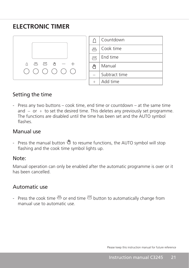### **ELECTRONIC TIMER**



|                              | Countdown     |
|------------------------------|---------------|
| $\frac{33335}{2}$            | Cook time     |
| $rac{\text{STOP}}{\sqrt{ }}$ | Fnd time      |
| 世                            | Manual        |
|                              | Subtract time |
|                              | Add time      |

#### Setting the time

- Press any two buttons – cook time, end time or countdown – at the same time and  $-$  or  $+$  to set the desired time. This deletes any previously set programme. The functions are disabled until the time has been set and the AUTO symbol flashes.

#### Manual use

- Press the manual button  $\mathbb{U}$  to resume functions, the AUTO symbol will stop flashing and the cook time symbol lights up.

#### Note:

Manual operation can only be enabled after the automatic programme is over or it has been cancelled.

#### Automatic use

- Press the cook time  $\stackrel{\text{\tiny{300}}}{\leftrightarrow}$  or end time  $\stackrel{\text{\tiny{300}}}{\leftrightarrow}$  button to automatically change from manual use to automatic use.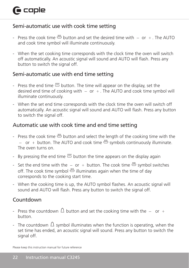#### Semi-automatic use with cook time setting

- Press the cook time  $\stackrel{\text{\tiny{def}}}{\leftrightarrow}$  button and set the desired time with  $-$  or  $+$ . The AUTO and cook time symbol will illuminate continuously.
- When the set cooking time corresponds with the clock time the oven will switch off automatically. An acoustic signal will sound and AUTO will flash. Press any button to switch the signal off.

#### Semi-automatic use with end time setting

- Press the end time  $\frac{1}{2}$  button. The time will appear on the display, set the desired end time of cooking with  $-$  or  $+$ . The AUTO and cook time symbol will illuminate continuously.
- When the set end time corresponds with the clock time the oven will switch off automatically. An acoustic signal will sound and AUTO will flash. Press any button to switch the signal off.

#### Automatic use with cook time and end time setting

- Press the cook time  $\stackrel{\text{mm}}{\Longrightarrow}$  button and select the length of the cooking time with the - or + button. The AUTO and cook time  $\stackrel{300}{\leftrightarrow}$  symbols continuously illuminate. The oven turns on.
- By pressing the end time  $\stackrel{\text{see}}{=}$  button the time appears on the display again
- Set the end time with the  $-$  or  $+$  button. The cook time  $\stackrel{\text{\tiny{300}}}{\leftrightarrow}$  symbol switches off. The cook time symbol  $\stackrel{\text{def}}{\leftrightarrow}$  illuminates again when the time of day corresponds to the cooking start time.
- When the cooking time is up, the AUTO symbol flashes. An acoustic signal will sound and AUTO will flash. Press any button to switch the signal off.

#### Countdown

- Press the countdown  $\Delta$  button and set the cooking time with the  $-$  or  $+$ button.
- The countdown  $\Omega$  symbol illuminates when the function is operating, when the set time has ended, an acoustic signal will sound. Press any button to switch the signal off.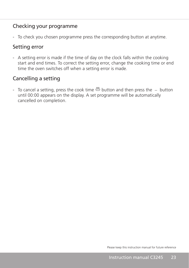#### Checking your programme

- To check you chosen programme press the corresponding button at anytime.

#### Setting error

- A setting error is made if the time of day on the clock falls within the cooking start and end times. To correct the setting error, change the cooking time or end time the oven switches off when a setting error is made.

#### Cancelling a setting

- To cancel a setting, press the cook time  $\stackrel{\text{mm}}{\Longrightarrow}$  button and then press the  $-$  button until 00:00 appears on the display. A set programme will be automatically cancelled on completion.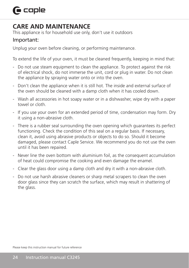## $\bigcap$  caple

### **CARE AND MAINTENANCE**

This appliance is for household use only, don't use it outdoors

#### Important:

Unplug your oven before cleaning, or performing maintenance.

To extend the life of your oven, it must be cleaned frequently, keeping in mind that:

- Do not use steam equipment to clean the appliance. To protect against the risk of electrical shock, do not immerse the unit, cord or plug in water. Do not clean the appliance by spraying water onto or into the oven.
- Don't clean the appliance when it is still hot. The inside and external surface of the oven should be cleaned with a damp cloth when it has cooled down.
- Wash all accessories in hot soapy water or in a dishwasher, wipe dry with a paper towel or cloth.
- If you use your oven for an extended period of time, condensation may form. Dry it using a non-abrasive cloth.
- There is a rubber seal surrounding the oven opening which guarantees its perfect functioning. Check the condition of this seal on a regular basis. If necessary, clean it, avoid using abrasive products or objects to do so. Should it become damaged, please contact Caple Service. We recommend you do not use the oven until it has been repaired.
- Never line the oven bottom with aluminium foil, as the consequent accumulation of heat could compromise the cooking and even damage the enamel.
- Clear the glass door using a damp cloth and dry it with a non-abrasive cloth.
- Do not use harsh abrasive cleaners or sharp metal scrapers to clean the oven door glass since they can scratch the surface, which may result in shattering of the glass.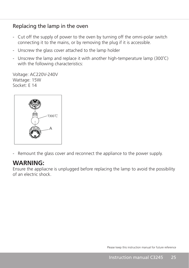#### Replacing the lamp in the oven

- Cut off the supply of power to the oven by turning off the omni-polar switch connecting it to the mains, or by removing the plug if it is accessible.
- Unscrew the glass cover attached to the lamp holder
- Unscrew the lamp and replace it with another high-temperature lamp (300˚C) with the following characteristics:

Voltage: AC220V-240V Wattage: 15W Socket: E 14



- Remount the glass cover and reconnect the appliance to the power supply.

#### **WARNING:**

Ensure the appliacne is unplugged before replacing the lamp to avoid the possibility of an electric shock.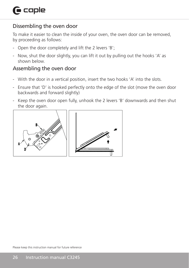#### Dissembling the oven door

To make it easier to clean the inside of your oven, the oven door can be removed, by proceeding as follows:

- Open the door completely and lift the 2 levers 'B';
- Now, shut the door slightly, you can lift it out by pulling out the hooks 'A' as shown below.

#### Assembling the oven door

- With the door in a vertical position, insert the two hooks 'A' into the slots.
- Ensure that 'D' is hooked perfectly onto the edge of the slot (move the oven door backwards and forward slightly)
- Keep the oven door open fully, unhook the 2 levers 'B' downwards and then shut the door again.

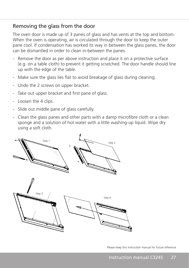#### Removing the glass from the door

The oven door is made up of 3 panes of glass and has vents at the top and bottom. When the oven is operating, air is circulated through the door to keep the outer pane cool. If condensation has worked its way in between the glass panes, the door can be dismantled in order to clean in-between the panes.

- Remove the door as per above instruction and place it on a protective surface (e.g. on a table cloth) to prevent it getting scratched. The door handle should line up with the edge of the table.
- Make sure the glass lies flat to avoid breakage of glass during cleaning.
- Undo the 2 screws on upper bracket.
- Take out upper bracket and first pane of glass.
- Loosen the 4 clips.
- Slide out middle pane of glass carefully.
- Clean the glass panes and other parts with a damp microfibre cloth or a clean sponge and a solution of hot water with a little washing-up liquid. Wipe dry using a soft cloth.

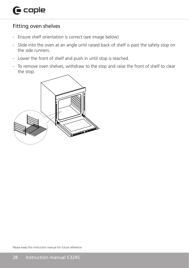#### Fitting oven shelves

- Ensure shelf orientation is correct (see image below)
- Slide into the oven at an angle until raised back of shelf is past the safety stop on the side runners.
- Lower the front of shelf and push in until stop is reached.
- To remove oven shelves, withdraw to the stop and raise the front of shelf to clear the stop.

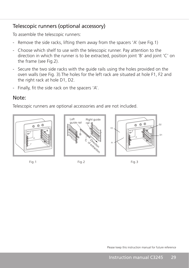#### Telescopic runners (optional accessory)

To assemble the telescopic runners:

- Remove the side racks, lifting them away from the spacers 'A' (see Fig.1)
- Choose which shelf to use with the telescopic runner. Pay attention to the direction in which the runner is to be extracted, position joint 'B' and joint 'C' on the frame (see Fig.2).
- Secure the two side racks with the guide rails using the holes provided on the oven walls (see Fig. 3).The holes for the left rack are situated at hole F1, F2 and the right rack at hole D1, D2.
- Finally, fit the side rack on the spacers 'A'.

#### Note:

Telescopic runners are optional accessories and are not included.







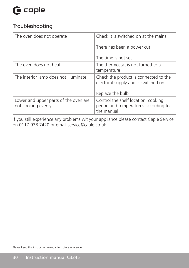## $\mathbf \Theta$  caple

#### Troubleshooting

| The oven does not operate                                   | Check it is switched on at the mains                                                      |
|-------------------------------------------------------------|-------------------------------------------------------------------------------------------|
|                                                             | There has been a power cut                                                                |
|                                                             | The time is not set                                                                       |
| The oven does not heat                                      | The thermostat is not turned to a<br>temperature                                          |
| The interior lamp does not illuminate                       | Check the product is connected to the<br>electrical supply and is switched on             |
|                                                             | Replace the bulb                                                                          |
| Lower and upper parts of the oven are<br>not cooking evenly | Control the shelf location, cooking<br>period and temperatures according to<br>the manual |

If you still experience any problems wit your appliance please contact Caple Service on 0117 938 7420 or email service@caple.co.uk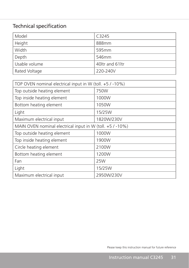### Technical specification

| Model         | C3245            |
|---------------|------------------|
| Height        | 888mm            |
| Width         | 595mm            |
| Depth         | 546mm            |
| Usable volume | 40 tr and 61 ltr |
| Rated Voltage | 220-240V         |

| TOP OVEN nominal electrical input in W (toll. +5 / -10%)  |            |  |
|-----------------------------------------------------------|------------|--|
| Top outside heating element                               | 750W       |  |
| Top inside heating element                                | 1000W      |  |
| Bottom heating element                                    | 1050W      |  |
| Light                                                     | 15/25W     |  |
| Maximum electrical input                                  | 1820W/230V |  |
| MAIN OVEN nominal electrical input in W (toll. +5 / -10%) |            |  |
| Top outside heating element                               | 1000W      |  |
| Top inside heating element                                | 1900W      |  |
| Circle heating element                                    | 2100W      |  |
| Bottom heating element                                    | 1200W      |  |
| Fan                                                       | 25W        |  |
| Light                                                     | 15/25W     |  |
| Maximum electrical input                                  | 2950W/230V |  |